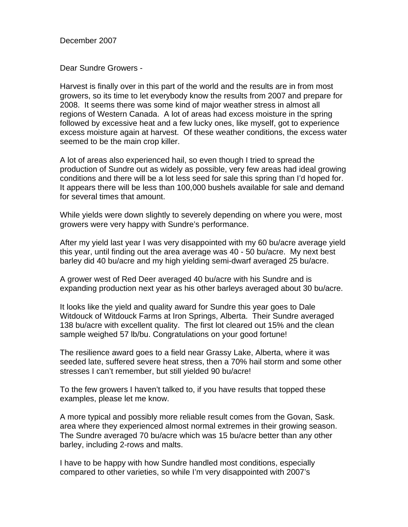December 2007

Dear Sundre Growers -

Harvest is finally over in this part of the world and the results are in from most growers, so its time to let everybody know the results from 2007 and prepare for 2008. It seems there was some kind of major weather stress in almost all regions of Western Canada. A lot of areas had excess moisture in the spring followed by excessive heat and a few lucky ones, like myself, got to experience excess moisture again at harvest. Of these weather conditions, the excess water seemed to be the main crop killer.

A lot of areas also experienced hail, so even though I tried to spread the production of Sundre out as widely as possible, very few areas had ideal growing conditions and there will be a lot less seed for sale this spring than I'd hoped for. It appears there will be less than 100,000 bushels available for sale and demand for several times that amount.

While yields were down slightly to severely depending on where you were, most growers were very happy with Sundre's performance.

After my yield last year I was very disappointed with my 60 bu/acre average yield this year, until finding out the area average was 40 - 50 bu/acre. My next best barley did 40 bu/acre and my high yielding semi-dwarf averaged 25 bu/acre.

A grower west of Red Deer averaged 40 bu/acre with his Sundre and is expanding production next year as his other barleys averaged about 30 bu/acre.

It looks like the yield and quality award for Sundre this year goes to Dale Witdouck of Witdouck Farms at Iron Springs, Alberta. Their Sundre averaged 138 bu/acre with excellent quality. The first lot cleared out 15% and the clean sample weighed 57 lb/bu. Congratulations on your good fortune!

The resilience award goes to a field near Grassy Lake, Alberta, where it was seeded late, suffered severe heat stress, then a 70% hail storm and some other stresses I can't remember, but still yielded 90 bu/acre!

To the few growers I haven't talked to, if you have results that topped these examples, please let me know.

A more typical and possibly more reliable result comes from the Govan, Sask. area where they experienced almost normal extremes in their growing season. The Sundre averaged 70 bu/acre which was 15 bu/acre better than any other barley, including 2-rows and malts.

I have to be happy with how Sundre handled most conditions, especially compared to other varieties, so while I'm very disappointed with 2007's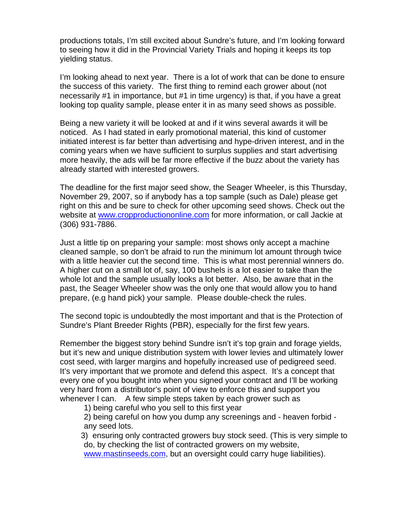productions totals, I'm still excited about Sundre's future, and I'm looking forward to seeing how it did in the Provincial Variety Trials and hoping it keeps its top yielding status.

I'm looking ahead to next year. There is a lot of work that can be done to ensure the success of this variety. The first thing to remind each grower about (not necessarily #1 in importance, but #1 in time urgency) is that, if you have a great looking top quality sample, please enter it in as many seed shows as possible.

Being a new variety it will be looked at and if it wins several awards it will be noticed. As I had stated in early promotional material, this kind of customer initiated interest is far better than advertising and hype-driven interest, and in the coming years when we have sufficient to surplus supplies and start advertising more heavily, the ads will be far more effective if the buzz about the variety has already started with interested growers.

The deadline for the first major seed show, the Seager Wheeler, is this Thursday, November 29, 2007, so if anybody has a top sample (such as Dale) please get right on this and be sure to check for other upcoming seed shows. Check out the website at www.cropproductiononline.com for more information, or call Jackie at (306) 931-7886.

Just a little tip on preparing your sample: most shows only accept a machine cleaned sample, so don't be afraid to run the minimum lot amount through twice with a little heavier cut the second time. This is what most perennial winners do. A higher cut on a small lot of, say, 100 bushels is a lot easier to take than the whole lot and the sample usually looks a lot better. Also, be aware that in the past, the Seager Wheeler show was the only one that would allow you to hand prepare, (e.g hand pick) your sample. Please double-check the rules.

The second topic is undoubtedly the most important and that is the Protection of Sundre's Plant Breeder Rights (PBR), especially for the first few years.

Remember the biggest story behind Sundre isn't it's top grain and forage yields, but it's new and unique distribution system with lower levies and ultimately lower cost seed, with larger margins and hopefully increased use of pedigreed seed. It's very important that we promote and defend this aspect. It's a concept that every one of you bought into when you signed your contract and I'll be working very hard from a distributor's point of view to enforce this and support you whenever I can. A few simple steps taken by each grower such as

1) being careful who you sell to this first year

 2) being careful on how you dump any screenings and - heaven forbid any seed lots.

3) ensuring only contracted growers buy stock seed. (This is very simple to do, by checking the list of contracted growers on my website,

www.mastinseeds.com, but an oversight could carry huge liabilities).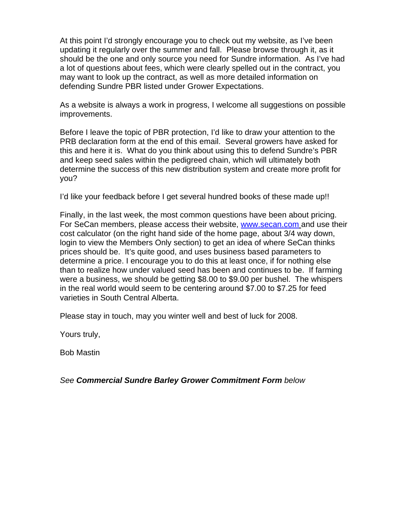At this point I'd strongly encourage you to check out my website, as I've been updating it regularly over the summer and fall. Please browse through it, as it should be the one and only source you need for Sundre information. As I've had a lot of questions about fees, which were clearly spelled out in the contract, you may want to look up the contract, as well as more detailed information on defending Sundre PBR listed under Grower Expectations.

As a website is always a work in progress, I welcome all suggestions on possible improvements.

Before I leave the topic of PBR protection, I'd like to draw your attention to the PRB declaration form at the end of this email. Several growers have asked for this and here it is. What do you think about using this to defend Sundre's PBR and keep seed sales within the pedigreed chain, which will ultimately both determine the success of this new distribution system and create more profit for you?

I'd like your feedback before I get several hundred books of these made up!!

Finally, in the last week, the most common questions have been about pricing. For SeCan members, please access their website, www.secan.com and use their cost calculator (on the right hand side of the home page, about 3/4 way down, login to view the Members Only section) to get an idea of where SeCan thinks prices should be. It's quite good, and uses business based parameters to determine a price. I encourage you to do this at least once, if for nothing else than to realize how under valued seed has been and continues to be. If farming were a business, we should be getting \$8.00 to \$9.00 per bushel. The whispers in the real world would seem to be centering around \$7.00 to \$7.25 for feed varieties in South Central Alberta.

Please stay in touch, may you winter well and best of luck for 2008.

Yours truly,

Bob Mastin

See **Commercial Sundre Barley Grower Commitment Form** below